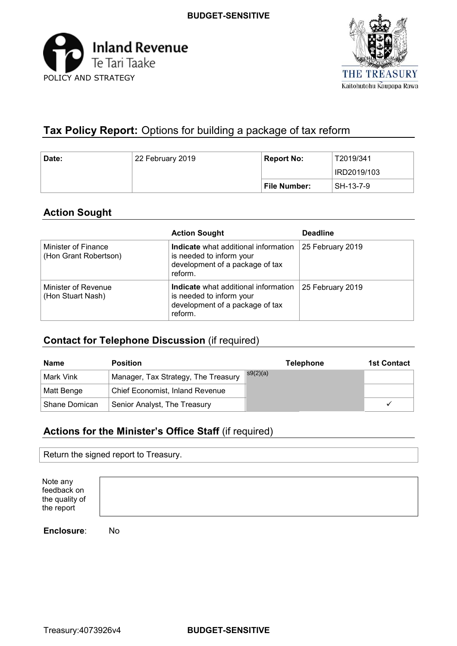



# **Tax Policy Report:** Options for building a package of tax reform

| Date: | 22 February 2019 | <b>Report No:</b> | T2019/341   |
|-------|------------------|-------------------|-------------|
|       |                  |                   | IRD2019/103 |
|       |                  | File Number:      | SH-13-7-9   |

# **Action Sought**

|                                              | <b>Action Sought</b>                                                                                           | <b>Deadline</b>  |
|----------------------------------------------|----------------------------------------------------------------------------------------------------------------|------------------|
| Minister of Finance<br>(Hon Grant Robertson) | Indicate what additional information<br>is needed to inform your<br>development of a package of tax<br>reform. | 25 February 2019 |
| Minister of Revenue<br>(Hon Stuart Nash)     | Indicate what additional information<br>is needed to inform your<br>development of a package of tax<br>reform. | 25 February 2019 |

# **Contact for Telephone Discussion** (if required)

| <b>Name</b>   | <b>Position</b>                        | <b>Telephone</b> | <b>1st Contact</b> |
|---------------|----------------------------------------|------------------|--------------------|
| Mark Vink     | Manager, Tax Strategy, The Treasury    | s9(2)(a)         |                    |
| Matt Benge    | <b>Chief Economist, Inland Revenue</b> |                  |                    |
| Shane Domican | Senior Analyst, The Treasury           |                  |                    |

# **Actions for the Minister's Office Staff** (if required)

|  | Return the signed report to Treasury. |  |
|--|---------------------------------------|--|
|  |                                       |  |

| Note any       |
|----------------|
| feedback on    |
| the quality of |
| the report     |

**Enclosure**: No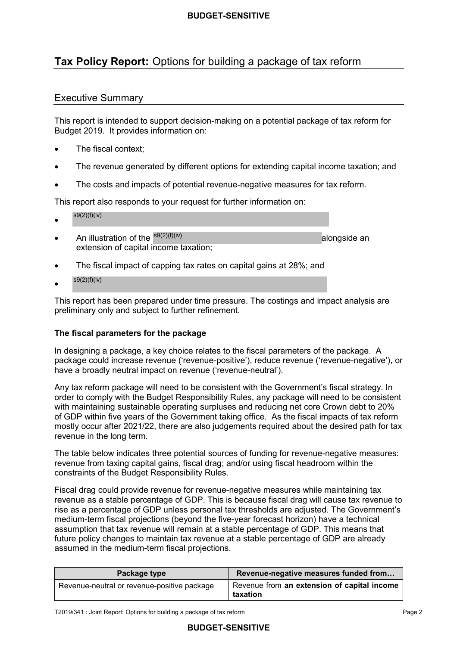# **Tax Policy Report:** Options for building a package of tax reform

# Executive Summary

 This report is intended to support decision-making on a potential package of tax reform for Budget 2019. It provides information on:

- The fiscal context;
- The revenue generated by different options for extending capital income taxation; and
- The costs and impacts of potential revenue-negative measures for tax reform.

This report also responds to your request for further information on:

- $s9(2)(f)(iv)$
- extension of capital income taxation; • An illustration of the  $s9(2)(f)(iv)$  alongside an alongside an
- The fiscal impact of capping tax rates on capital gains at 28%; and
- $s9(2)(f)(iv)$

 This report has been prepared under time pressure. The costings and impact analysis are preliminary only and subject to further refinement.

#### **The fiscal parameters for the package**

 In designing a package, a key choice relates to the fiscal parameters of the package. A package could increase revenue ('revenue-positive'), reduce revenue ('revenue-negative'), or have a broadly neutral impact on revenue ('revenue-neutral').

 Any tax reform package will need to be consistent with the Government's fiscal strategy. In order to comply with the Budget Responsibility Rules, any package will need to be consistent with maintaining sustainable operating surpluses and reducing net core Crown debt to 20% of GDP within five years of the Government taking office. As the fiscal impacts of tax reform mostly occur after 2021/22, there are also judgements required about the desired path for tax revenue in the long term.

 The table below indicates three potential sources of funding for revenue-negative measures: revenue from taxing capital gains, fiscal drag; and/or using fiscal headroom within the constraints of the Budget Responsibility Rules.

 Fiscal drag could provide revenue for revenue-negative measures while maintaining tax revenue as a stable percentage of GDP. This is because fiscal drag will cause tax revenue to rise as a percentage of GDP unless personal tax thresholds are adjusted. The Government's medium-term fiscal projections (beyond the five-year forecast horizon) have a technical assumption that tax revenue will remain at a stable percentage of GDP. This means that future policy changes to maintain tax revenue at a stable percentage of GDP are already assumed in the medium-term fiscal projections.

| Package type                                | Revenue-negative measures funded from                   |
|---------------------------------------------|---------------------------------------------------------|
| Revenue-neutral or revenue-positive package | Revenue from an extension of capital income<br>taxation |

T2019/341 : Joint Report: Options for building a package of tax reform Page 2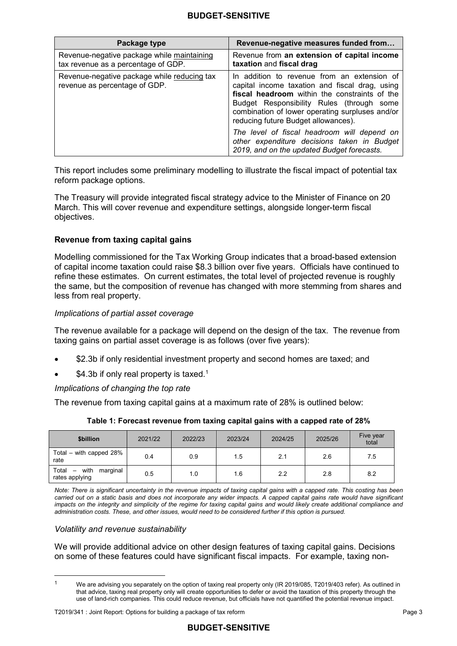| Package type                                                                      | Revenue-negative measures funded from                                                                                                                                                                                                                                                    |
|-----------------------------------------------------------------------------------|------------------------------------------------------------------------------------------------------------------------------------------------------------------------------------------------------------------------------------------------------------------------------------------|
| Revenue-negative package while maintaining<br>tax revenue as a percentage of GDP. | Revenue from an extension of capital income<br>taxation and fiscal drag                                                                                                                                                                                                                  |
| Revenue-negative package while reducing tax<br>revenue as percentage of GDP.      | In addition to revenue from an extension of<br>capital income taxation and fiscal drag, using<br>fiscal headroom within the constraints of the<br>Budget Responsibility Rules (through<br>some<br>combination of lower operating surpluses and/or<br>reducing future Budget allowances). |
|                                                                                   | The level of fiscal headroom will depend on<br>other expenditure decisions taken in Budget<br>2019, and on the updated Budget forecasts.                                                                                                                                                 |

 This report includes some preliminary modelling to illustrate the fiscal impact of potential tax reform package options.

 The Treasury will provide integrated fiscal strategy advice to the Minister of Finance on 20 March. This will cover revenue and expenditure settings, alongside longer-term fiscal objectives.

#### **Revenue from taxing capital gains**

 Modelling commissioned for the Tax Working Group indicates that a broad-based extension of capital income taxation could raise \$8.3 billion over five years. Officials have continued to refine these estimates. On current estimates, the total level of projected revenue is roughly the same, but the composition of revenue has changed with more stemming from shares and less from real property.

#### *Implications of partial asset coverage*

 The revenue available for a package will depend on the design of the tax. The revenue from taxing gains on partial asset coverage is as follows (over five years):

- \$2.3b if only residential investment property and second homes are taxed; and
- $$4.3b$  if only real property is taxed.<sup>1</sup>

#### *Implications of changing the top rate*

The revenue from taxing capital gains at a maximum rate of 28% is outlined below:

| <b>Sbillion</b>                                                         | 2021/22 | 2022/23 | 2023/24 | 2024/25 | 2025/26 | Five year<br>total |
|-------------------------------------------------------------------------|---------|---------|---------|---------|---------|--------------------|
| Total – with capped $28\%$<br>rate                                      | 0.4     | 0.9     | 1.5     | 2.1     | 2.6     | 7.5                |
| Total<br>with<br>marginal<br>$\overline{\phantom{m}}$<br>rates applying | 0.5     | 1.0     | 1.6     | 2.2     | 2.8     | 8.2                |

#### **Table 1: Forecast revenue from taxing capital gains with a capped rate of 28%**

*Note: There is significant uncertainty in the revenue impacts of taxing capital gains with a capped rate. This costing has been carried out on a static basis and does not incorporate any wider impacts. A capped capital gains rate would have significant*  impacts on the integrity and simplicity of the regime for taxing capital gains and would likely create additional compliance and *administration costs. These, and other issues, would need to be considered further if this option is pursued.* 

#### *Volatility and revenue sustainability*

 $\overline{a}$ 

 We will provide additional advice on other design features of taxing capital gains. Decisions on some of these features could have significant fiscal impacts. For example, taxing non-

 that advice, taxing real property only will create opportunities to defer or avoid the taxation of this property through the use of land-rich companies. This could reduce revenue, but officials have not quantified the potential revenue impact. We are advising you separately on the option of taxing real property only (IR 2019/085, T2019/403 refer). As outlined in 1

 T2019/341 : Joint Report: Options for building a package of tax reform Page 3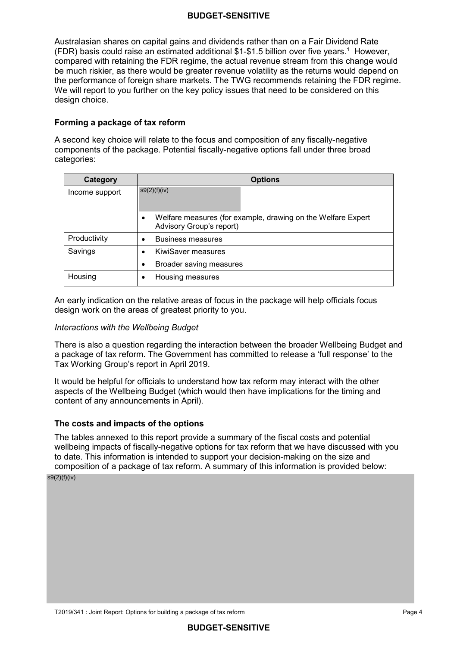Australasian shares on capital gains and dividends rather than on a Fair Dividend Rate (FDR) basis could raise an estimated additional \$1-\$1.5 billion over five years.<sup>1</sup> However, compared with retaining the FDR regime, the actual revenue stream from this change would be much riskier, as there would be greater revenue volatility as the returns would depend on the performance of foreign share markets. The TWG recommends retaining the FDR regime. We will report to you further on the key policy issues that need to be considered on this design choice.

#### **Forming a package of tax reform**

 A second key choice will relate to the focus and composition of any fiscally-negative components of the package. Potential fiscally-negative options fall under three broad categories:

| Category       | <b>Options</b>                                                                                        |  |  |
|----------------|-------------------------------------------------------------------------------------------------------|--|--|
| Income support | s9(2)(f)(iv)                                                                                          |  |  |
|                | Welfare measures (for example, drawing on the Welfare Expert<br>$\bullet$<br>Advisory Group's report) |  |  |
| Productivity   | <b>Business measures</b>                                                                              |  |  |
| Savings        | <b>KiwiSaver measures</b>                                                                             |  |  |
|                | Broader saving measures<br>٠                                                                          |  |  |
| Housing        | Housing measures                                                                                      |  |  |

 An early indication on the relative areas of focus in the package will help officials focus design work on the areas of greatest priority to you.

#### *Interactions with the Wellbeing Budget*

 There is also a question regarding the interaction between the broader Wellbeing Budget and a package of tax reform. The Government has committed to release a 'full response' to the Tax Working Group's report in April 2019.

 It would be helpful for officials to understand how tax reform may interact with the other aspects of the Wellbeing Budget (which would then have implications for the timing and content of any announcements in April).

#### **The costs and impacts of the options**

 The tables annexed to this report provide a summary of the fiscal costs and potential wellbeing impacts of fiscally-negative options for tax reform that we have discussed with you to date. This information is intended to support your decision-making on the size and composition of a package of tax reform. A summary of this information is provided below:

s9(2)(f)(iv)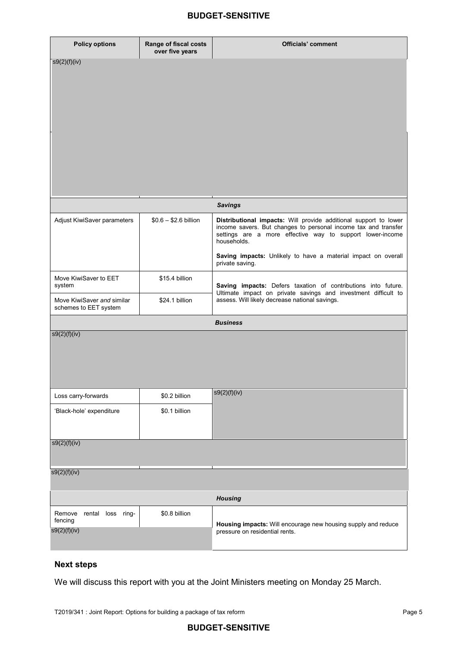| <b>Policy options</b>                               | Range of fiscal costs<br>over five years | <b>Officials' comment</b>                                                                                                                                                                                      |  |
|-----------------------------------------------------|------------------------------------------|----------------------------------------------------------------------------------------------------------------------------------------------------------------------------------------------------------------|--|
| s9(2)(f)(iv)                                        |                                          |                                                                                                                                                                                                                |  |
|                                                     |                                          |                                                                                                                                                                                                                |  |
|                                                     |                                          |                                                                                                                                                                                                                |  |
|                                                     |                                          |                                                                                                                                                                                                                |  |
|                                                     |                                          |                                                                                                                                                                                                                |  |
|                                                     |                                          |                                                                                                                                                                                                                |  |
|                                                     |                                          |                                                                                                                                                                                                                |  |
|                                                     |                                          |                                                                                                                                                                                                                |  |
|                                                     |                                          |                                                                                                                                                                                                                |  |
|                                                     |                                          |                                                                                                                                                                                                                |  |
|                                                     |                                          |                                                                                                                                                                                                                |  |
|                                                     |                                          |                                                                                                                                                                                                                |  |
|                                                     |                                          | <b>Savings</b>                                                                                                                                                                                                 |  |
| Adjust KiwiSaver parameters                         | $$0.6 - $2.6$ billion                    | Distributional impacts: Will provide additional support to lower<br>income savers. But changes to personal income tax and transfer<br>settings are a more effective way to support lower-income<br>households. |  |
|                                                     |                                          | Saving impacts: Unlikely to have a material impact on overall<br>private saving.                                                                                                                               |  |
| Move KiwiSaver to EET<br>system                     | \$15.4 billion                           | Saving impacts: Defers taxation of contributions into future.                                                                                                                                                  |  |
| Move KiwiSaver and similar<br>schemes to EET system | \$24.1 billion                           | Ultimate impact on private savings and investment difficult to<br>assess. Will likely decrease national savings.                                                                                               |  |
|                                                     |                                          | <b>Business</b>                                                                                                                                                                                                |  |
| s9(2)(f)(iv)                                        |                                          |                                                                                                                                                                                                                |  |
|                                                     |                                          |                                                                                                                                                                                                                |  |
|                                                     |                                          |                                                                                                                                                                                                                |  |
|                                                     |                                          |                                                                                                                                                                                                                |  |
|                                                     |                                          |                                                                                                                                                                                                                |  |
| Loss carry-forwards                                 | \$0.2 billion                            | s9(2)(f)(iv)                                                                                                                                                                                                   |  |
| 'Black-hole' expenditure                            | \$0.1 billion                            |                                                                                                                                                                                                                |  |
|                                                     |                                          |                                                                                                                                                                                                                |  |
|                                                     |                                          |                                                                                                                                                                                                                |  |
| s9(2)(f)(iv)                                        |                                          |                                                                                                                                                                                                                |  |
|                                                     |                                          |                                                                                                                                                                                                                |  |
| s9(2)(f)(iv)                                        |                                          |                                                                                                                                                                                                                |  |
|                                                     |                                          |                                                                                                                                                                                                                |  |
|                                                     |                                          | <b>Housing</b>                                                                                                                                                                                                 |  |
| ring-<br>Remove<br>rental loss                      | \$0.8 billion                            |                                                                                                                                                                                                                |  |
| fencing                                             |                                          | Housing impacts: Will encourage new housing supply and reduce                                                                                                                                                  |  |
| s9(2)(f)(iv)                                        |                                          | pressure on residential rents.                                                                                                                                                                                 |  |
|                                                     |                                          |                                                                                                                                                                                                                |  |

#### **Next steps**

We will discuss this report with you at the Joint Ministers meeting on Monday 25 March.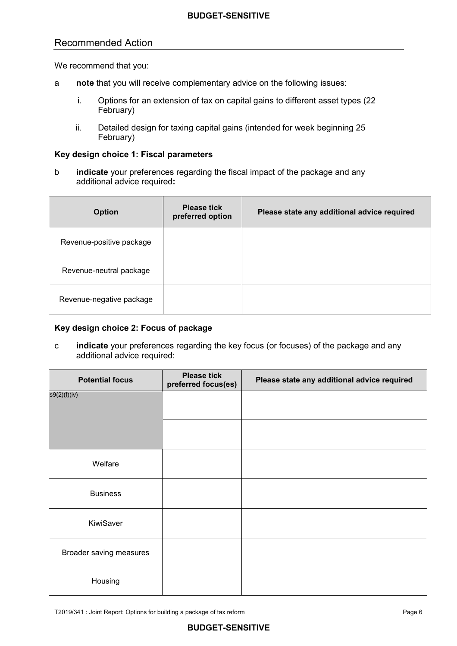# Recommended Action

We recommend that you:

- a **note** that you will receive complementary advice on the following issues:
	- i. Options for an extension of tax on capital gains to different asset types (22 February)
	- ii. Detailed design for taxing capital gains (intended for week beginning 25 February)

#### **Key design choice 1: Fiscal parameters**

 b **indicate** your preferences regarding the fiscal impact of the package and any additional advice required**:**

| <b>Option</b>            | <b>Please tick</b><br>preferred option | Please state any additional advice required |
|--------------------------|----------------------------------------|---------------------------------------------|
| Revenue-positive package |                                        |                                             |
| Revenue-neutral package  |                                        |                                             |
| Revenue-negative package |                                        |                                             |

#### **Key design choice 2: Focus of package**

 **indicate** your preferences regarding the key focus (or focuses) of the package and any c additional advice required:

| <b>Potential focus</b>  | <b>Please tick</b><br>preferred focus(es) | Please state any additional advice required |
|-------------------------|-------------------------------------------|---------------------------------------------|
| s9(2)(f)(iv)            |                                           |                                             |
|                         |                                           |                                             |
| Welfare                 |                                           |                                             |
| <b>Business</b>         |                                           |                                             |
| KiwiSaver               |                                           |                                             |
| Broader saving measures |                                           |                                             |
| Housing                 |                                           |                                             |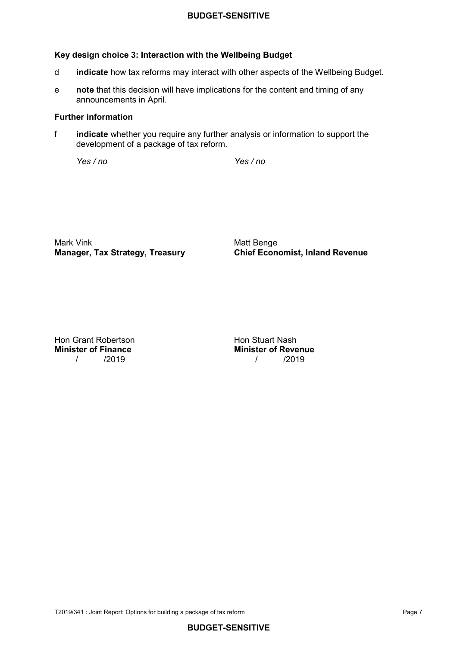### **Key design choice 3: Interaction with the Wellbeing Budget**

- d **indicate** how tax reforms may interact with other aspects of the Wellbeing Budget.
- e **note** that this decision will have implications for the content and timing of any announcements in April.

#### **Further information**

 f **indicate** whether you require any further analysis or information to support the development of a package of tax reform.

*Yes / no Yes / no* 

**Manager, Tax Strategy, Treasury** Mark Vink **Matt Benge** Matt Benge

**Manager, Tax Strategy, Treasury Chief Economist, Inland Revenue**

Hon Grant Robertson **Hon Stuart Nash Minister of Finance** 

**Finance** Minister of Revenue<br>(2019) 1996 / /2019 / /2019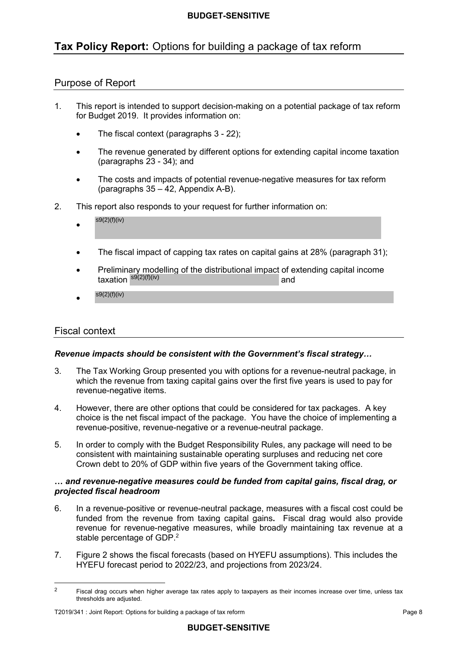# **Tax Policy Report:** Options for building a package of tax reform

# Purpose of Report

- $\mathbf{1}$  for Budget 2019. It provides information on: This report is intended to support decision-making on a potential package of tax reform
	- The fiscal context (paragraphs 3 22);
	- $\bullet$  (paragraphs 23 - 34); and The revenue generated by different options for extending capital income taxation
	- (paragraphs 35 42, Appendix A-B). The costs and impacts of potential revenue-negative measures for tax reform
- $2.$ This report also responds to your request for further information on:
	- $s9(2)(f)(iv)$
	- The fiscal impact of capping tax rates on capital gains at 28% (paragraph 31):
	- • Preliminary modelling of the distributional impact of extending capital income  $\frac{e^{s(2)}(f)(iv)}{2}$  and
	- $s9(2)(f)(iv)$

#### Fiscal context

 $\overline{a}$ 

#### *Revenue impacts should be consistent with the Government's fiscal strategy…*

- $3<sup>1</sup>$  which the revenue from taxing capital gains over the first five years is used to pay for The Tax Working Group presented you with options for a revenue-neutral package, in revenue-negative items.
- 4. However, there are other options that could be considered for tax packages. A key choice is the net fiscal impact of the package. You have the choice of implementing a revenue-positive, revenue-negative or a revenue-neutral package.
- $5<sub>1</sub>$  consistent with maintaining sustainable operating surpluses and reducing net core Crown debt to 20% of GDP within five years of the Government taking office. In order to comply with the Budget Responsibility Rules, any package will need to be

#### **…** *and revenue-negative measures could be funded from capital gains, fiscal drag, or projected fiscal headroom*

- 6. In a revenue-positive or revenue-neutral package, measures with a fiscal cost could be funded from the revenue from taxing capital gains**.** Fiscal drag would also provide revenue for revenue-negative measures, while broadly maintaining tax revenue at a stable percentage of GDP.<sup>2</sup>
- $\overline{7}$ . HYEFU forecast period to 2022/23, and projections from 2023/24. Figure 2 shows the fiscal forecasts (based on HYEFU assumptions). This includes the

 2Fiscal drag occurs when higher average tax rates apply to taxpayers as their incomes increase over time, unless tax thresholds are adjusted.

 T2019/341 : Joint Report: Options for building a package of tax reform Page 8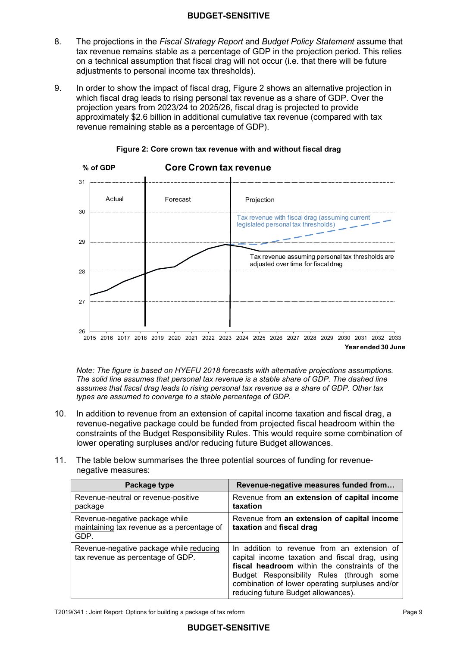- 8. The projections in the *Fiscal Strategy Report* and *Budget Policy Statement* assume that tax revenue remains stable as a percentage of GDP in the projection period. This relies on a technical assumption that fiscal drag will not occur (i.e. that there will be future adjustments to personal income tax thresholds).  $\mathsf{R}$
- In order to show the impact of fiscal drag, Figure 2 shows an alternative projection in which fiscal drag leads to rising personal tax revenue as a share of GDP. Over the projection years from 2023/24 to 2025/26, fiscal drag is projected to provide approximately \$2.6 billion in additional cumulative tax revenue (compared with tax revenue remaining stable as a percentage of GDP). 9.



#### **Figure 2: Core crown tax revenue with and without fiscal drag**

 **Year ended 30 June** 2015 2016 2017 2018 2019 2020 2021 2022 2023 2024 2025 2026 2027 2028 2029 2030 2031 2032 2033

 *types are assumed to converge to a stable percentage of GDP. Note: The figure is based on HYEFU 2018 forecasts with alternative projections assumptions. The solid line assumes that personal tax revenue is a stable share of GDP. The dashed line assumes that fiscal drag leads to rising personal tax revenue as a share of GDP. Other tax* 

- 10. In addition to revenue from an extension of capital income taxation and fiscal drag, a revenue-negative package could be funded from projected fiscal headroom within the constraints of the Budget Responsibility Rules. This would require some combination of lower operating surpluses and/or reducing future Budget allowances.
- $11.$ The table below summarises the three potential sources of funding for revenuenegative measures:

| Package type                                                                         | Revenue-negative measures funded from                                                                                                                                                                                                                                                    |
|--------------------------------------------------------------------------------------|------------------------------------------------------------------------------------------------------------------------------------------------------------------------------------------------------------------------------------------------------------------------------------------|
| Revenue-neutral or revenue-positive<br>package                                       | Revenue from an extension of capital income<br>taxation                                                                                                                                                                                                                                  |
| Revenue-negative package while<br>maintaining tax revenue as a percentage of<br>GDP. | Revenue from an extension of capital income<br>taxation and fiscal drag                                                                                                                                                                                                                  |
| Revenue-negative package while reducing<br>tax revenue as percentage of GDP.         | In addition to revenue from an extension of<br>capital income taxation and fiscal drag, using<br>fiscal headroom within the constraints of the<br>Budget Responsibility Rules (through<br>some<br>combination of lower operating surpluses and/or<br>reducing future Budget allowances). |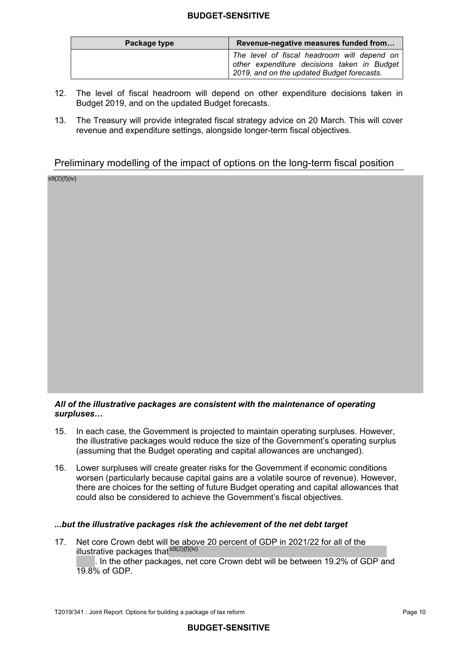| Package type | Revenue-negative measures funded from                                                                                                    |  |  |
|--------------|------------------------------------------------------------------------------------------------------------------------------------------|--|--|
|              | The level of fiscal headroom will depend on<br>other expenditure decisions taken in Budget<br>2019, and on the updated Budget forecasts. |  |  |

- $12.$  Budget 2019, and on the updated Budget forecasts. The level of fiscal headroom will depend on other expenditure decisions taken in
- $13.$  revenue and expenditure settings, alongside longer-term fiscal objectives. The Treasury will provide integrated fiscal strategy advice on 20 March. This will cover

# Preliminary modelling of the impact of options on the long-term fiscal position

s9(2)(f)(iv)

#### *All of the illustrative packages are consistent with the maintenance of operating surpluses…*

- $15<sup>1</sup>$  the illustrative packages would reduce the size of the Government's operating surplus (assuming that the Budget operating and capital allowances are unchanged). In each case, the Government is projected to maintain operating surpluses. However,
- 16. Lower surpluses will create greater risks for the Government if economic conditions worsen (particularly because capital gains are a volatile source of revenue). However, there are choices for the setting of future Budget operating and capital allowances that could also be considered to achieve the Government's fiscal objectives.

#### *...but the illustrative packages risk the achievement of the net debt target*

 $17.$ illustrative packages that<sup>s9(2)(f)(iv)</sup> Net core Crown debt will be above 20 percent of GDP in 2021/22 for all of the

 . In the other packages, net core Crown debt will be between 19.2% of GDP and 19.8% of GDP.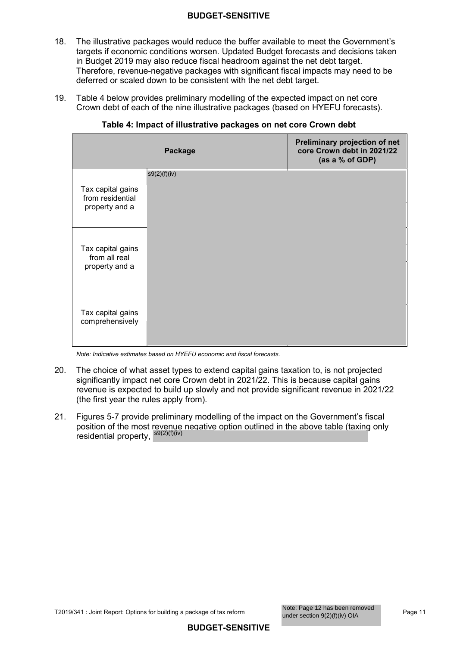- $18<sup>1</sup>$  targets if economic conditions worsen. Updated Budget forecasts and decisions taken in Budget 2019 may also reduce fiscal headroom against the net debt target. Therefore, revenue-negative packages with significant fiscal impacts may need to be deferred or scaled down to be consistent with the net debt target. The illustrative packages would reduce the buffer available to meet the Government's
- $19.$  Crown debt of each of the nine illustrative packages (based on HYEFU forecasts). Table 4 below provides preliminary modelling of the expected impact on net core

|                                                         | Package      | Preliminary projection of net<br>core Crown debt in 2021/22<br>(as a % of GDP) |
|---------------------------------------------------------|--------------|--------------------------------------------------------------------------------|
| Tax capital gains<br>from residential<br>property and a | s9(2)(f)(iv) |                                                                                |
| Tax capital gains<br>from all real<br>property and a    |              |                                                                                |
| Tax capital gains<br>comprehensively                    |              |                                                                                |

#### **Table 4: Impact of illustrative packages on net core Crown debt**

*Note: Indicative estimates based on HYEFU economic and fiscal forecasts.* 

- 20. significantly impact net core Crown debt in 2021/22. This is because capital gains revenue is expected to build up slowly and not provide significant revenue in 2021/22 (the first year the rules apply from). The choice of what asset types to extend capital gains taxation to, is not projected
- $21.$  position of the most revenue negative option outlined in the above table (taxing only residential property, <sup>s9(2)(f)(iv)</sup> Figures 5-7 provide preliminary modelling of the impact on the Government's fiscal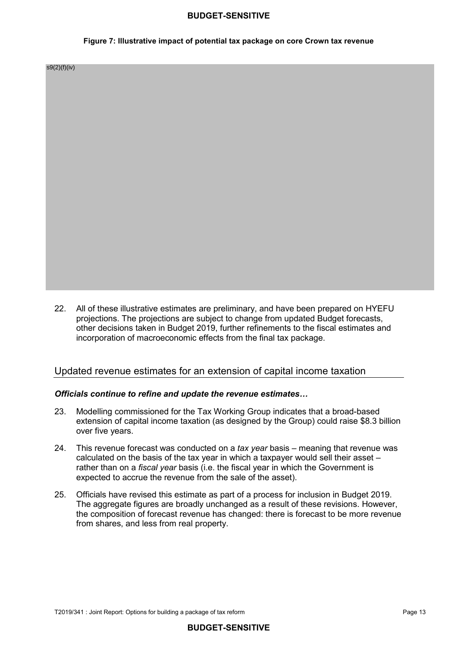#### **Figure 7: Illustrative impact of potential tax package on core Crown tax revenue**

s9(2)(f)(iv)

 $22<sub>2</sub>$  projections. The projections are subject to change from updated Budget forecasts, other decisions taken in Budget 2019, further refinements to the fiscal estimates and incorporation of macroeconomic effects from the final tax package. All of these illustrative estimates are preliminary, and have been prepared on HYEFU

#### Updated revenue estimates for an extension of capital income taxation

#### *Officials continue to refine and update the revenue estimates…*

- 23. Modelling commissioned for the Tax Working Group indicates that a broad-based extension of capital income taxation (as designed by the Group) could raise \$8.3 billion over five years.
- 24. calculated on the basis of the tax year in which a taxpayer would sell their asset – rather than on a *fiscal year* basis (i.e. the fiscal year in which the Government is expected to accrue the revenue from the sale of the asset). 24. This revenue forecast was conducted on a *tax year* basis – meaning that revenue was
- $25.$  The aggregate figures are broadly unchanged as a result of these revisions. However, the composition of forecast revenue has changed: there is forecast to be more revenue from shares, and less from real property. 25. Officials have revised this estimate as part of a process for inclusion in Budget 2019.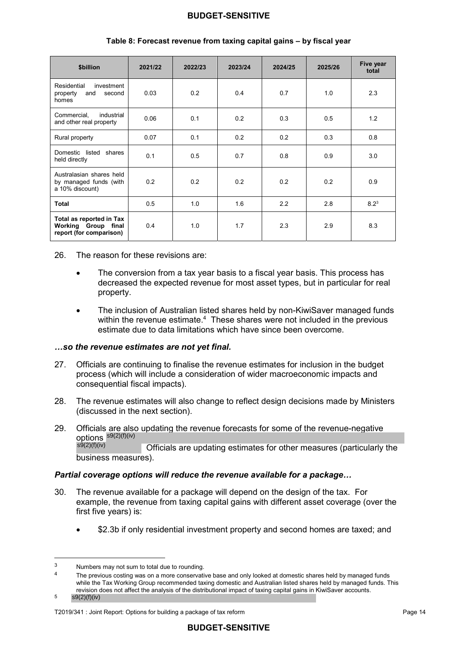| \$billion                                                                  | 2021/22 | 2022/23 | 2023/24 | 2024/25 | 2025/26 | Five year<br>total |
|----------------------------------------------------------------------------|---------|---------|---------|---------|---------|--------------------|
| Residential<br>investment<br>property<br>second<br>and<br>homes            | 0.03    | 0.2     | 0.4     | 0.7     | 1.0     | 2.3                |
| Commercial,<br>industrial<br>and other real property                       | 0.06    | 0.1     | 0.2     | 0.3     | 0.5     | 1.2                |
| Rural property                                                             | 0.07    | 0.1     | 0.2     | 0.2     | 0.3     | 0.8                |
| Domestic listed shares<br>held directly                                    | 0.1     | 0.5     | 0.7     | 0.8     | 0.9     | 3.0                |
| Australasian shares held<br>by managed funds (with<br>a 10% discount)      | 0.2     | 0.2     | 0.2     | 0.2     | 0.2     | 0.9                |
| <b>Total</b>                                                               | 0.5     | 1.0     | 1.6     | 2.2     | 2.8     | $8.2^3$            |
| Total as reported in Tax<br>Working Group final<br>report (for comparison) | 0.4     | 1.0     | 1.7     | 2.3     | 2.9     | 8.3                |

#### **Table 8: Forecast revenue from taxing capital gains – by fiscal year**

26 The reason for these revisions are:

- decreased the expected revenue for most asset types, but in particular for real The conversion from a tax year basis to a fiscal year basis. This process has property.
- within the revenue estimate. $4$  These shares were not included in the previous estimate due to data limitations which have since been overcome. • The inclusion of Australian listed shares held by non-KiwiSaver managed funds

#### *…so the revenue estimates are not yet final.*

- $27.$  process (which will include a consideration of wider macroeconomic impacts and consequential fiscal impacts). 27. Officials are continuing to finalise the revenue estimates for inclusion in the budget
- 28 (discussed in the next section). The revenue estimates will also change to reflect design decisions made by Ministers
- 29  $s^{9(2)(f)(iv)}$  Officials are updating estimates for other measures (particularly the business measures). Officials are also updating the revenue forecasts for some of the revenue-negative<br>options  ${}^{s9(2)(f)(iv)}$  officials are undating activated for ather measures (particularly

#### *Partial coverage options will reduce the revenue available for a package…*

- $30<sub>1</sub>$  example, the revenue from taxing capital gains with different asset coverage (over the first five years) is: The revenue available for a package will depend on the design of the tax. For
	- \$2.3b if only residential investment property and second homes are taxed; and

 $\overline{3}$ Numbers may not sum to total due to rounding.

 while the Tax Working Group recommended taxing domestic and Australian listed shares held by managed funds. This revision does not affect the analysis of the distributional impact of taxing capital gains in KiwiSaver accounts. 4 The previous costing was on a more conservative base and only looked at domestic shares held by managed funds

s9(2)(f)(iv) 5

T2019/341 : Joint Report: Options for building a package of tax reform **Page 14** Page 14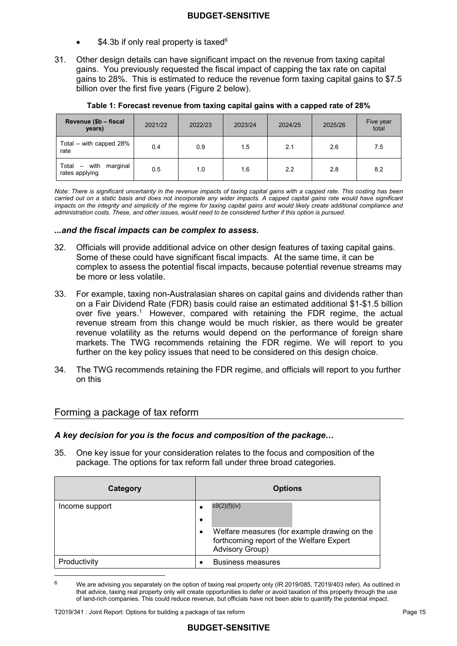- $$4.3b$  if only real property is taxed<sup>6</sup>
- 31. Other design details can have significant impact on the revenue from taxing capital gains. You previously requested the fiscal impact of capping the tax rate on capital gains to 28%. This is estimated to reduce the revenue form taxing capital gains to \$7.5 billion over the first five years (Figure 2 below).

| Revenue (\$b - fiscal<br>years)                                         | 2021/22 | 2022/23 | 2023/24 | 2024/25 | 2025/26 | Five year<br>total |
|-------------------------------------------------------------------------|---------|---------|---------|---------|---------|--------------------|
| Total – with capped 28%<br>rate                                         | 0.4     | 0.9     | 1.5     | 2.1     | 2.6     | 7.5                |
| marginal<br>Total<br>with<br>$\overline{\phantom{a}}$<br>rates applying | 0.5     | 1.0     | 1.6     | 2.2     | 2.8     | 8.2                |

|  |  | Table 1: Forecast revenue from taxing capital gains with a capped rate of 28% $\,$ |
|--|--|------------------------------------------------------------------------------------|
|--|--|------------------------------------------------------------------------------------|

*Note: There is significant uncertainty in the revenue impacts of taxing capital gains with a capped rate. This costing has been carried out on a static basis and does not incorporate any wider impacts. A capped capital gains rate would have significant impacts on the integrity and simplicity of the regime for taxing capital gains and would likely create additional compliance and administration costs. These, and other issues, would need to be considered further if this option is pursued.* 

#### *...and the fiscal impacts can be complex to assess.*

- $32.$  Some of these could have significant fiscal impacts. At the same time, it can be complex to assess the potential fiscal impacts, because potential revenue streams may be more or less volatile. Officials will provide additional advice on other design features of taxing capital gains.
- 33. on a Fair Dividend Rate (FDR) basis could raise an estimated additional \$1-\$1.5 billion over five years.<sup>1</sup> However, compared with retaining the FDR regime, the actual revenue stream from this change would be much riskier, as there would be greater revenue volatility as the returns would depend on the performance of foreign share markets. The TWG recommends retaining the FDR regime. We will report to you further on the key policy issues that need to be considered on this design choice. 33. For example, taxing non-Australasian shares on capital gains and dividends rather than
- 34. The TWG recommends retaining the FDR regime, and officials will report to you further on this

# Forming a package of tax reform

#### *A key decision for you is the focus and composition of the package…*

 $35<sup>7</sup>$  package. The options for tax reform fall under three broad categories. 35. One key issue for your consideration relates to the focus and composition of the

| Category       | <b>Options</b>                                                                                                                                    |
|----------------|---------------------------------------------------------------------------------------------------------------------------------------------------|
| Income support | s9(2)(f)(iv)<br>٠<br>٠<br>Welfare measures (for example drawing on the<br>٠<br>forthcoming report of the Welfare Expert<br><b>Advisory Group)</b> |
| Productivity   | <b>Business measures</b><br>$\bullet$                                                                                                             |

 that advice, taxing real property only will create opportunities to defer or avoid taxation of this property through the use of land-rich companies. This could reduce revenue, but officials have not been able to quantify the potential impact. We are advising you separately on the option of taxing real property only (IR 2019/085, T2019/403 refer). As outlined in 6

 $\overline{a}$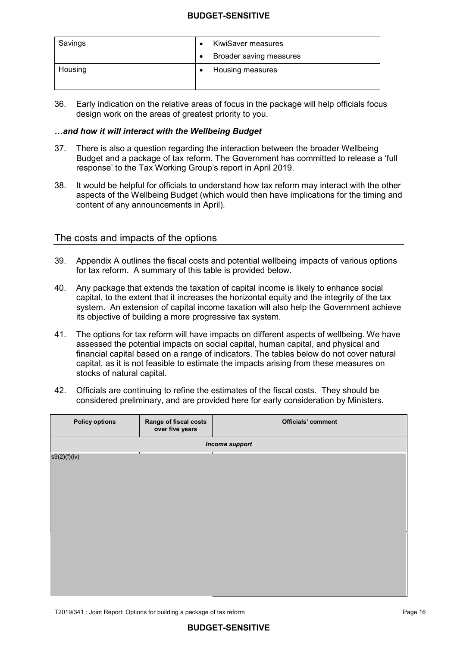| Savings | KiwiSaver measures |                         |
|---------|--------------------|-------------------------|
|         | $\bullet$          | Broader saving measures |
| Housing |                    | Housing measures        |

 36. Early indication on the relative areas of focus in the package will help officials focus design work on the areas of greatest priority to you.

#### *…and how it will interact with the Wellbeing Budget*

- 37 Budget and a package of tax reform. The Government has committed to release a 'full response' to the Tax Working Group's report in April 2019. There is also a question regarding the interaction between the broader Wellbeing
- $38.$  aspects of the Wellbeing Budget (which would then have implications for the timing and content of any announcements in April). It would be helpful for officials to understand how tax reform may interact with the other

## The costs and impacts of the options

- 39. Appendix A outlines the fiscal costs and potential wellbeing impacts of various options for tax reform. A summary of this table is provided below.
- 40. capital, to the extent that it increases the horizontal equity and the integrity of the tax system. An extension of capital income taxation will also help the Government achieve its objective of building a more progressive tax system. Any package that extends the taxation of capital income is likely to enhance social
- 41 assessed the potential impacts on social capital, human capital, and physical and financial capital based on a range of indicators. The tables below do not cover natural capital, as it is not feasible to estimate the impacts arising from these measures on stocks of natural capital. The options for tax reform will have impacts on different aspects of wellbeing. We have
- 42. Officials are continuing to refine the estimates of the fiscal costs. They should be considered preliminary, and are provided here for early consideration by Ministers.

| <b>Policy options</b> | Range of fiscal costs<br>over five years | Officials' comment |
|-----------------------|------------------------------------------|--------------------|
|                       |                                          | Income support     |
| s9(2)(f)(iv)          |                                          |                    |
|                       |                                          |                    |
|                       |                                          |                    |
|                       |                                          |                    |
|                       |                                          |                    |
|                       |                                          |                    |
|                       |                                          |                    |
|                       |                                          |                    |
|                       |                                          |                    |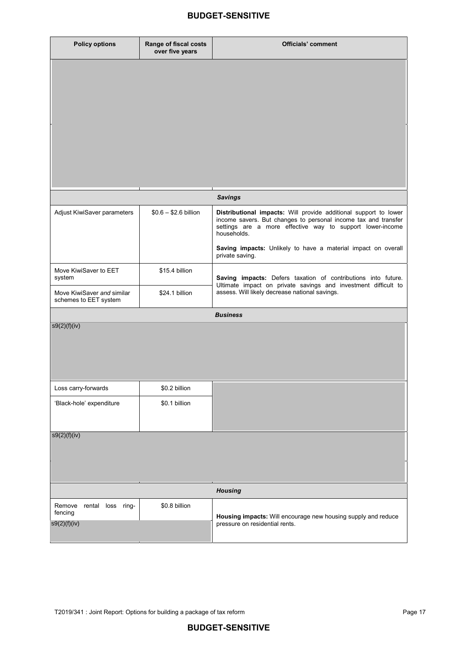| <b>Policy options</b>                               | Range of fiscal costs<br>over five years | <b>Officials' comment</b>                                                                                                                                                                                      |
|-----------------------------------------------------|------------------------------------------|----------------------------------------------------------------------------------------------------------------------------------------------------------------------------------------------------------------|
|                                                     |                                          |                                                                                                                                                                                                                |
|                                                     |                                          |                                                                                                                                                                                                                |
|                                                     |                                          |                                                                                                                                                                                                                |
|                                                     |                                          |                                                                                                                                                                                                                |
|                                                     |                                          |                                                                                                                                                                                                                |
|                                                     |                                          |                                                                                                                                                                                                                |
|                                                     |                                          | <b>Savings</b>                                                                                                                                                                                                 |
| Adjust KiwiSaver parameters                         | $$0.6 - $2.6$ billion                    | Distributional impacts: Will provide additional support to lower<br>income savers. But changes to personal income tax and transfer<br>settings are a more effective way to support lower-income<br>households. |
|                                                     |                                          | Saving impacts: Unlikely to have a material impact on overall<br>private saving.                                                                                                                               |
| Move KiwiSaver to EET<br>system                     | \$15.4 billion                           | Saving impacts: Defers taxation of contributions into future.<br>Ultimate impact on private savings and investment difficult to                                                                                |
| Move KiwiSaver and similar<br>schemes to EET system | \$24.1 billion                           | assess. Will likely decrease national savings.                                                                                                                                                                 |
|                                                     |                                          | <b>Business</b>                                                                                                                                                                                                |
| s9(2)(f)(iv)                                        |                                          |                                                                                                                                                                                                                |
|                                                     |                                          |                                                                                                                                                                                                                |
|                                                     |                                          |                                                                                                                                                                                                                |
| Loss carry-forwards                                 | \$0.2 billion                            |                                                                                                                                                                                                                |
| 'Black-hole' expenditure                            | \$0.1 billion                            |                                                                                                                                                                                                                |
|                                                     |                                          |                                                                                                                                                                                                                |
| s9(2)(f)(iv)                                        |                                          |                                                                                                                                                                                                                |
|                                                     |                                          |                                                                                                                                                                                                                |
|                                                     |                                          |                                                                                                                                                                                                                |
|                                                     |                                          | <b>Housing</b>                                                                                                                                                                                                 |
| Remove<br>rental loss ring-<br>fencing              | \$0.8 billion                            | Housing impacts: Will encourage new housing supply and reduce                                                                                                                                                  |
| s9(2)(f)(iv)                                        |                                          | pressure on residential rents.                                                                                                                                                                                 |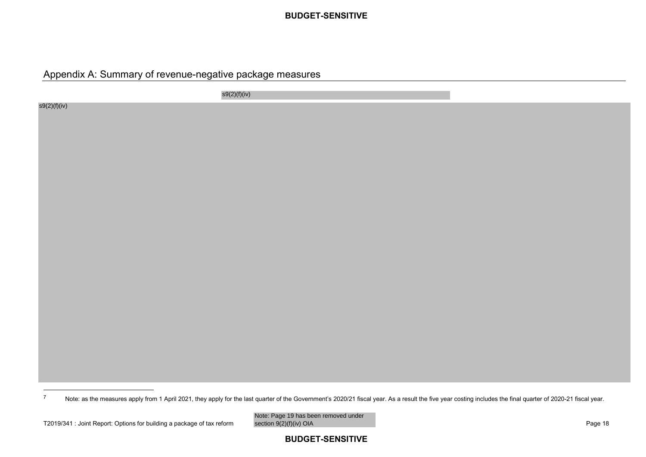# Appendix A: Summary of revenue-negative package measures

s9(2)(f)(iv)

s9(2)(f)(iv)

Note: as the measures apply from 1 April 2021, they apply for the last quarter of the Government's 2020/21 fiscal year. As <sup>a</sup> result the five year costing includes the final quarter of 2020-21 fiscal year. 7

Note: Page 19 has been removed under<br>section 9(2)(f)(iv) OIA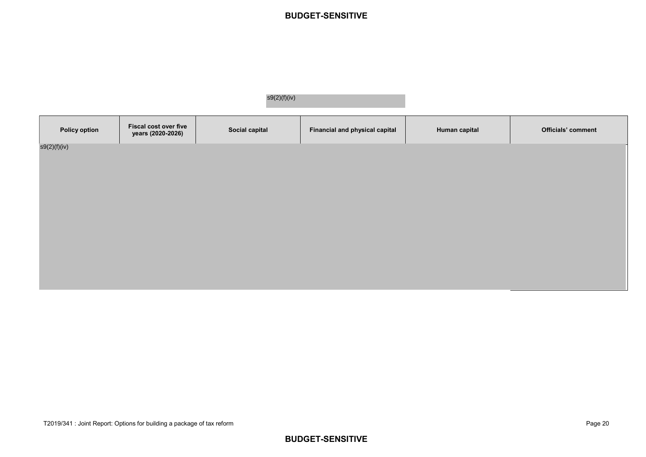|                      | s9(2)(f)(iv)                               |                |                                |               |                    |
|----------------------|--------------------------------------------|----------------|--------------------------------|---------------|--------------------|
| <b>Policy option</b> | Fiscal cost over five<br>years (2020-2026) | Social capital | Financial and physical capital | Human capital | Officials' comment |
| s9(2)(f)(iv)         |                                            |                |                                |               |                    |
|                      |                                            |                |                                |               |                    |
|                      |                                            |                |                                |               |                    |
|                      |                                            |                |                                |               |                    |
|                      |                                            |                |                                |               |                    |
|                      |                                            |                |                                |               |                    |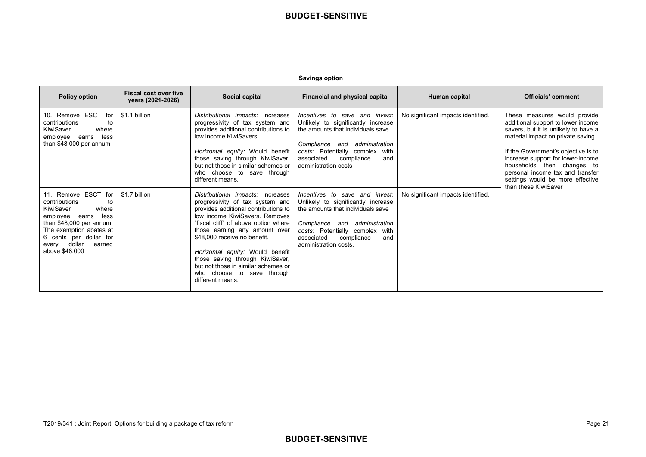| <b>Savings option</b> |  |
|-----------------------|--|
|                       |  |

| <b>Policy option</b>                                                                                                                                                                                                        | <b>Fiscal cost over five</b><br>years (2021-2026) | Social capital                                                                                                                                                                                                                                                                                                                                                                                                          | Financial and physical capital                                                                                                                                                                                                            | Human capital                      | Officials' comment                                                                                                                                                                                                                                                                                                                                         |
|-----------------------------------------------------------------------------------------------------------------------------------------------------------------------------------------------------------------------------|---------------------------------------------------|-------------------------------------------------------------------------------------------------------------------------------------------------------------------------------------------------------------------------------------------------------------------------------------------------------------------------------------------------------------------------------------------------------------------------|-------------------------------------------------------------------------------------------------------------------------------------------------------------------------------------------------------------------------------------------|------------------------------------|------------------------------------------------------------------------------------------------------------------------------------------------------------------------------------------------------------------------------------------------------------------------------------------------------------------------------------------------------------|
| 10. Remove ESCT for<br>contributions<br>to<br>KiwiSaver<br>where<br>employee<br>less<br>earns<br>than $$48,000$ per annum                                                                                                   | \$1.1 billion                                     | Distributional impacts: Increases<br>progressivity of tax system and<br>provides additional contributions to<br>low income KiwiSavers.<br>Horizontal equity: Would benefit<br>those saving through KiwiSaver,<br>but not those in similar schemes or<br>who choose to save through<br>different means.                                                                                                                  | Incentives to save and invest:<br>Unlikely to significantly increase<br>the amounts that individuals save<br>Compliance and administration<br>costs: Potentially complex with<br>associated<br>compliance<br>and<br>administration costs  | No significant impacts identified. | These measures would provide<br>additional support to lower income<br>savers, but it is unlikely to have a<br>material impact on private saving.<br>If the Government's objective is to<br>increase support for lower-income<br>households then changes to<br>personal income tax and transfer<br>settings would be more effective<br>than these KiwiSaver |
| 11. Remove ESCT for<br>contributions<br>to<br>KiwiSaver<br>where<br>less<br>employee<br>earns<br>than $$48,000$ per annum.<br>The exemption abates at<br>6 cents per dollar for<br>every dollar<br>earned<br>above \$48,000 | \$1.7 billion                                     | Distributional impacts: Increases<br>progressivity of tax system and<br>provides additional contributions to<br>low income KiwiSavers, Removes<br>"fiscal cliff" of above option where<br>those earning any amount over<br>\$48,000 receive no benefit.<br>Horizontal equity: Would benefit<br>those saving through KiwiSaver,<br>but not those in similar schemes or<br>who choose to save through<br>different means. | Incentives to save and invest:<br>Unlikely to significantly increase<br>the amounts that individuals save<br>Compliance and administration<br>costs: Potentially complex with<br>associated<br>compliance<br>and<br>administration costs. | No significant impacts identified. |                                                                                                                                                                                                                                                                                                                                                            |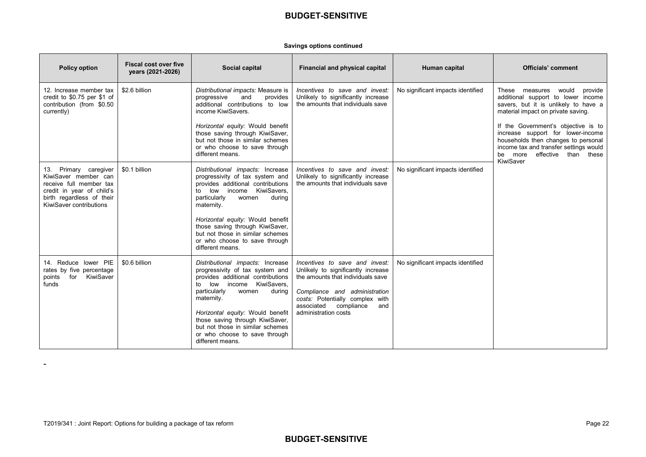#### **Savings options continued**

| <b>Policy option</b>                                                                                                                                          | <b>Fiscal cost over five</b><br>years (2021-2026) | Social capital                                                                                                                                                                                                                                                                                                                                               | Financial and physical capital                                                                                                                                                                                                           | Human capital                     | <b>Officials' comment</b>                                                                                                                                                                                 |
|---------------------------------------------------------------------------------------------------------------------------------------------------------------|---------------------------------------------------|--------------------------------------------------------------------------------------------------------------------------------------------------------------------------------------------------------------------------------------------------------------------------------------------------------------------------------------------------------------|------------------------------------------------------------------------------------------------------------------------------------------------------------------------------------------------------------------------------------------|-----------------------------------|-----------------------------------------------------------------------------------------------------------------------------------------------------------------------------------------------------------|
| 12. Increase member tax<br>credit to \$0.75 per \$1 of<br>contribution (from \$0.50<br>currently)                                                             | \$2.6 billion                                     | Distributional impacts: Measure is<br>progressive<br>and<br>provides<br>additional contributions to low<br>income KiwiSavers.                                                                                                                                                                                                                                | Incentives to save and invest:<br>Unlikely to significantly increase<br>the amounts that individuals save                                                                                                                                | No significant impacts identified | These<br>would<br>measures<br>provide<br>additional support to lower income<br>savers, but it is unlikely to have a<br>material impact on private saving.                                                 |
|                                                                                                                                                               |                                                   | Horizontal equity: Would benefit<br>those saving through KiwiSaver,<br>but not those in similar schemes<br>or who choose to save through<br>different means.                                                                                                                                                                                                 |                                                                                                                                                                                                                                          |                                   | If the Government's objective is to<br>increase support for lower-income<br>households then changes to personal<br>income tax and transfer settings would<br>be more effective than<br>these<br>KiwiSaver |
| 13. Primary caregiver<br>KiwiSaver member can<br>receive full member tax<br>credit in year of child's<br>birth regardless of their<br>KiwiSaver contributions | \$0.1 billion                                     | Distributional impacts: Increase<br>progressivity of tax system and<br>provides additional contributions<br>low income KiwiSavers.<br>to<br>particularly<br>women<br>during<br>maternity.                                                                                                                                                                    | Incentives to save and invest:<br>Unlikely to significantly increase<br>the amounts that individuals save                                                                                                                                | No significant impacts identified |                                                                                                                                                                                                           |
|                                                                                                                                                               |                                                   | Horizontal equity: Would benefit<br>those saving through KiwiSaver,<br>but not those in similar schemes<br>or who choose to save through<br>different means.                                                                                                                                                                                                 |                                                                                                                                                                                                                                          |                                   |                                                                                                                                                                                                           |
| 14. Reduce lower PIE<br>rates by five percentage<br>for KiwiSaver<br>points<br>funds                                                                          | \$0.6 billion                                     | Distributional impacts: Increase<br>progressivity of tax system and<br>provides additional contributions<br>KiwiSavers.<br>low income<br>to<br>particularly<br>women<br>during<br>maternity.<br>Horizontal equity: Would benefit<br>those saving through KiwiSaver,<br>but not those in similar schemes<br>or who choose to save through<br>different means. | Incentives to save and invest:<br>Unlikely to significantly increase<br>the amounts that individuals save<br>Compliance and administration<br>costs: Potentially complex with<br>associated<br>compliance<br>and<br>administration costs | No significant impacts identified |                                                                                                                                                                                                           |

-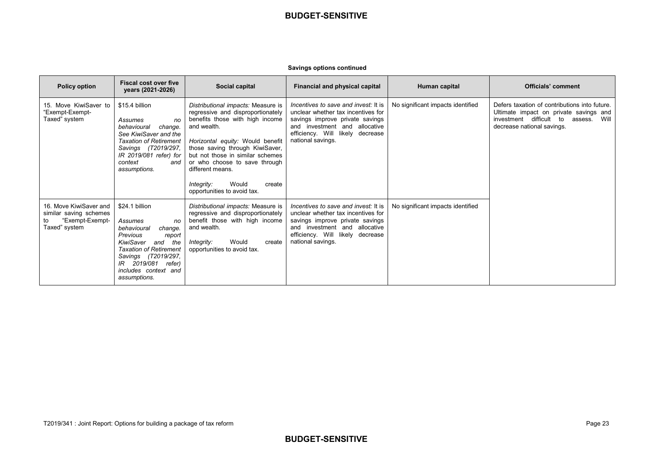#### **Savings options continued**

| <b>Policy option</b>                                                                       | <b>Fiscal cost over five</b><br>years (2021-2026)                                                                                                                                                                                   | Social capital                                                                                                                                                                                                                                                                                                                                            | Financial and physical capital                                                                                                                                                                          | Human capital                     | <b>Officials' comment</b>                                                                                                                                           |
|--------------------------------------------------------------------------------------------|-------------------------------------------------------------------------------------------------------------------------------------------------------------------------------------------------------------------------------------|-----------------------------------------------------------------------------------------------------------------------------------------------------------------------------------------------------------------------------------------------------------------------------------------------------------------------------------------------------------|---------------------------------------------------------------------------------------------------------------------------------------------------------------------------------------------------------|-----------------------------------|---------------------------------------------------------------------------------------------------------------------------------------------------------------------|
| 15. Move KiwiSaver to<br>"Exempt-Exempt-<br>Taxed" system                                  | \$15.4 billion<br>Assumes<br>no<br>change.<br>behavioural<br>See KiwiSaver and the<br><b>Taxation of Retirement</b><br>Savings (T2019/297,<br>IR 2019/081 refer) for<br>context<br>and<br>assumptions.                              | Distributional impacts: Measure is<br>regressive and disproportionately<br>benefits those with high income<br>and wealth.<br>Horizontal equity: Would benefit<br>those saving through KiwiSaver,<br>but not those in similar schemes<br>or who choose to save through<br>different means.<br>Would<br>Integrity:<br>create<br>opportunities to avoid tax. | Incentives to save and invest: It is<br>unclear whether tax incentives for<br>savings improve private savings<br>and investment and allocative<br>efficiency. Will likely decrease<br>national savings. | No significant impacts identified | Defers taxation of contributions into future.<br>Ultimate impact on private savings and<br>investment difficult to<br>Will<br>assess.<br>decrease national savings. |
| 16. Move KiwiSaver and<br>similar saving schemes<br>"Exempt-Exempt-<br>to<br>Taxed" system | \$24.1 billion<br>Assumes<br>no<br>change.<br>behavioural<br>Previous<br>report<br>KiwiSaver<br>and<br>the<br><b>Taxation of Retirement</b><br>Savings (T2019/297,<br>2019/081 refer)<br>IR<br>includes context and<br>assumptions. | Distributional impacts: Measure is<br>regressive and disproportionately<br>benefit those with high income<br>and wealth.<br>Would<br>create<br>Integrity:<br>opportunities to avoid tax.                                                                                                                                                                  | Incentives to save and invest: It is<br>unclear whether tax incentives for<br>savings improve private savings<br>and investment and allocative<br>efficiency. Will likely decrease<br>national savings. | No significant impacts identified |                                                                                                                                                                     |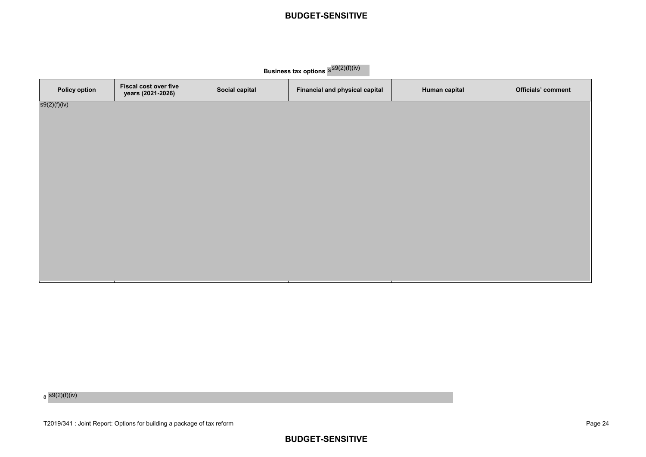**Business tax options**  $s^{SQ(2)(f)(iv)}$ 

| <b>Fiscal cost over five</b><br>years (2021-2026) | Social capital | Financial and physical capital | Human capital | <b>Officials' comment</b> |
|---------------------------------------------------|----------------|--------------------------------|---------------|---------------------------|
|                                                   |                |                                |               |                           |
|                                                   |                |                                |               |                           |
|                                                   |                |                                |               |                           |
|                                                   |                |                                |               |                           |
|                                                   |                |                                |               |                           |
|                                                   |                |                                |               |                           |
|                                                   |                |                                |               |                           |
|                                                   |                |                                |               |                           |
|                                                   |                |                                |               |                           |

<sub>8</sub> s9(2)(f)(iv)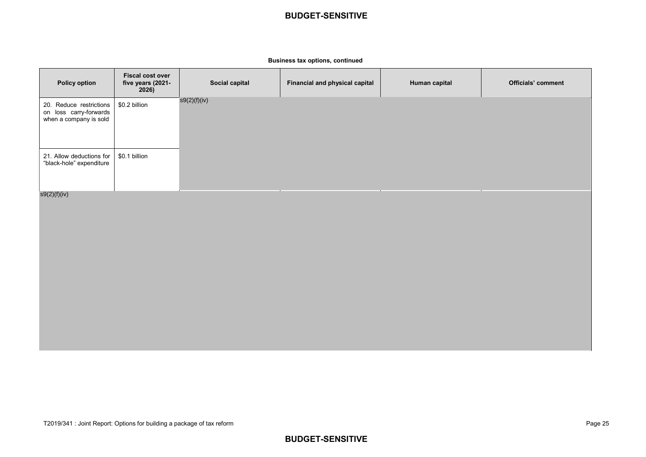#### **Business tax options, continued**

| <b>Policy option</b>                                                        | <b>Fiscal cost over</b><br>five years (2021-<br>2026) | Social capital | Financial and physical capital | Human capital | <b>Officials' comment</b> |
|-----------------------------------------------------------------------------|-------------------------------------------------------|----------------|--------------------------------|---------------|---------------------------|
| 20. Reduce restrictions<br>on loss carry-forwards<br>when a company is sold | \$0.2 billion                                         | s9(2)(f)(iv)   |                                |               |                           |
| 21. Allow deductions for<br>"black-hole" expenditure                        | \$0.1 billion                                         |                |                                |               |                           |
| s9(2)(f)(iv)                                                                |                                                       |                |                                |               |                           |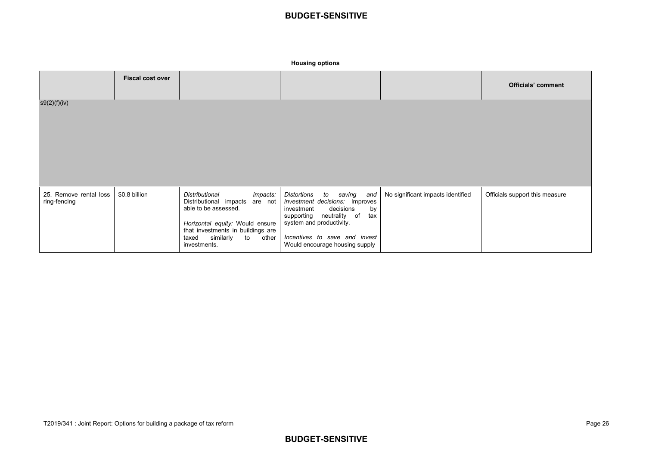**Housing options**

|                                        | <b>Fiscal cost over</b> |                                                                                                                                                                                                                   |                                                                                                                                                                                                                                         |                                   | <b>Officials' comment</b>      |
|----------------------------------------|-------------------------|-------------------------------------------------------------------------------------------------------------------------------------------------------------------------------------------------------------------|-----------------------------------------------------------------------------------------------------------------------------------------------------------------------------------------------------------------------------------------|-----------------------------------|--------------------------------|
| s9(2)(f)(iv)                           |                         |                                                                                                                                                                                                                   |                                                                                                                                                                                                                                         |                                   |                                |
| 25. Remove rental loss<br>ring-fencing | \$0.8 billion           | Distributional<br>impacts:<br>Distributional impacts are not<br>able to be assessed.<br>Horizontal equity: Would ensure<br>that investments in buildings are<br>similarly<br>to<br>taxed<br>other<br>investments. | Distortions<br>saving<br>to<br>and<br>investment decisions: Improves<br>decisions<br>by<br>investment<br>supporting neutrality of<br>tax<br>system and productivity.<br>Incentives to save and invest<br>Would encourage housing supply | No significant impacts identified | Officials support this measure |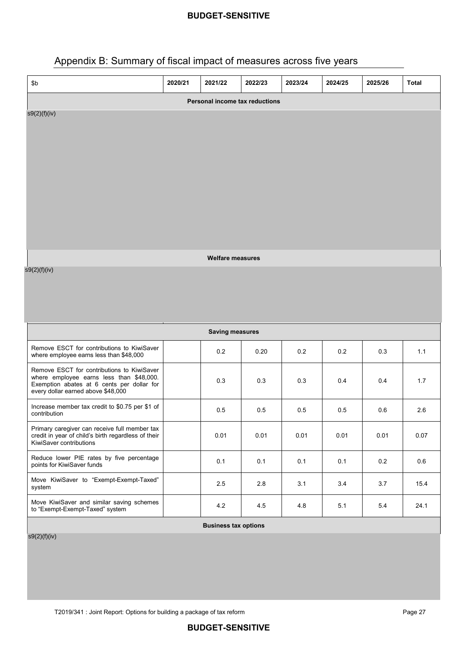# Appendix B: Summary of fiscal impact of measures across five years

| \$b                                                                                                                                  | 2020/21 | 2021/22                     | 2022/23 | 2023/24 | 2024/25 | 2025/26 | <b>Total</b> |  |  |
|--------------------------------------------------------------------------------------------------------------------------------------|---------|-----------------------------|---------|---------|---------|---------|--------------|--|--|
| <b>Personal income tax reductions</b>                                                                                                |         |                             |         |         |         |         |              |  |  |
| s9(2)(f)(iv)                                                                                                                         |         |                             |         |         |         |         |              |  |  |
|                                                                                                                                      |         |                             |         |         |         |         |              |  |  |
|                                                                                                                                      |         |                             |         |         |         |         |              |  |  |
|                                                                                                                                      |         |                             |         |         |         |         |              |  |  |
|                                                                                                                                      |         |                             |         |         |         |         |              |  |  |
|                                                                                                                                      |         |                             |         |         |         |         |              |  |  |
|                                                                                                                                      |         |                             |         |         |         |         |              |  |  |
|                                                                                                                                      |         |                             |         |         |         |         |              |  |  |
|                                                                                                                                      |         | <b>Welfare measures</b>     |         |         |         |         |              |  |  |
| s9(2)(f)(iv)                                                                                                                         |         |                             |         |         |         |         |              |  |  |
|                                                                                                                                      |         |                             |         |         |         |         |              |  |  |
|                                                                                                                                      |         |                             |         |         |         |         |              |  |  |
|                                                                                                                                      |         | <b>Saving measures</b>      |         |         |         |         |              |  |  |
| Remove ESCT for contributions to KiwiSaver                                                                                           |         |                             |         |         |         |         |              |  |  |
| where employee earns less than \$48,000                                                                                              |         | 0.2                         | 0.20    | 0.2     | 0.2     | 0.3     | 1.1          |  |  |
| Remove ESCT for contributions to KiwiSaver<br>where employee earns less than \$48,000.<br>Exemption abates at 6 cents per dollar for |         | 0.3                         | 0.3     | 0.3     | 0.4     | 0.4     | 1.7          |  |  |
| every dollar earned above \$48,000                                                                                                   |         |                             |         |         |         |         |              |  |  |
| Increase member tax credit to \$0.75 per \$1 of<br>contribution                                                                      |         | 0.5                         | 0.5     | 0.5     | 0.5     | 0.6     | 2.6          |  |  |
| Primary caregiver can receive full member tax<br>credit in year of child's birth regardless of their                                 |         | 0.01                        | 0.01    | 0.01    | 0.01    | 0.01    | 0.07         |  |  |
| KiwiSaver contributions                                                                                                              |         |                             |         |         |         |         |              |  |  |
| Reduce lower PIE rates by five percentage<br>points for KiwiSaver funds                                                              |         | 0.1                         | 0.1     | 0.1     | 0.1     | 0.2     | 0.6          |  |  |
| Move KiwiSaver to "Exempt-Exempt-Taxed"<br>system                                                                                    |         | 2.5                         | 2.8     | 3.1     | 3.4     | 3.7     | 15.4         |  |  |
| Move KiwiSaver and similar saving schemes<br>to "Exempt-Exempt-Taxed" system                                                         |         | 4.2                         | 4.5     | 4.8     | 5.1     | 5.4     | 24.1         |  |  |
|                                                                                                                                      |         | <b>Business tax options</b> |         |         |         |         |              |  |  |

 $\frac{1}{\sqrt{59(2)(f)(iv)}}$